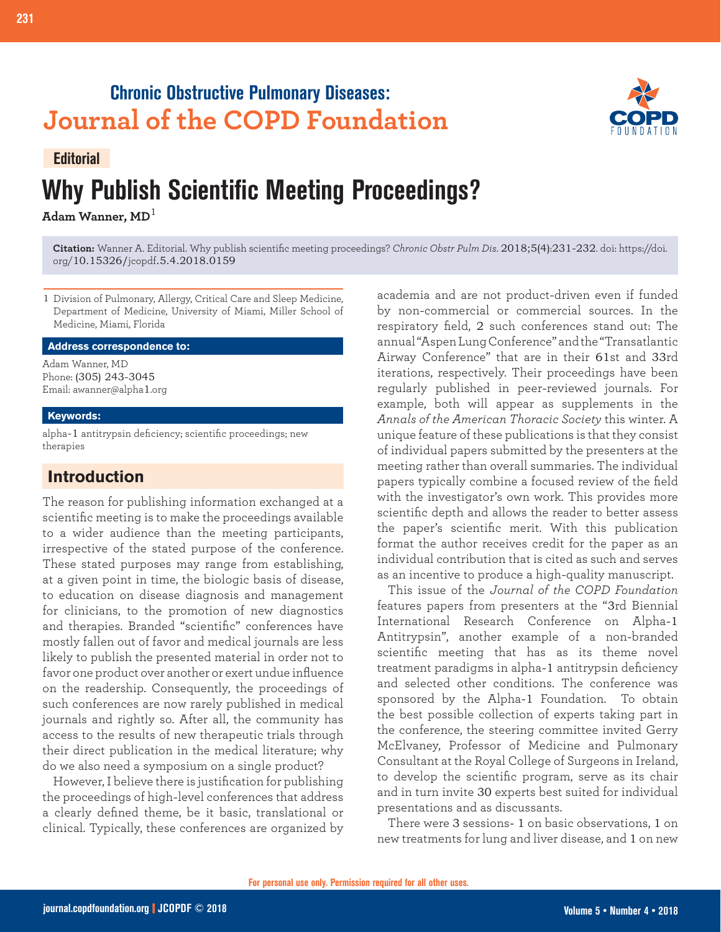## **Chronic Obstructive Pulmonary Diseases: Journal of the COPD Foundation**



### **Editorial**

# **Why Publish Scientific Meeting Proceedings?**

**Adam Wanner, MD**<sup>1</sup>

**Citation:** Wanner A. Editorial. Why publish scientific meeting proceedings? *Chronic Obstr Pulm Dis*. 2018;5(4):231-232. doi: https://doi. org/10.15326/jcopdf.5.4.2018.0159

1 Division of Pulmonary, Allergy, Critical Care and Sleep Medicine, Department of Medicine, University of Miami, Miller School of Medicine, Miami, Florida

#### **Address correspondence to:**

Adam Wanner, MD Phone: (305) 243-3045 Email: awanner@alpha1.org

#### **Keywords:**

alpha-1 antitrypsin deficiency; scientific proceedings; new therapies

## **Introduction**

The reason for publishing information exchanged at a scientific meeting is to make the proceedings available to a wider audience than the meeting participants, irrespective of the stated purpose of the conference. These stated purposes may range from establishing, at a given point in time, the biologic basis of disease, to education on disease diagnosis and management for clinicians, to the promotion of new diagnostics and therapies. Branded "scientific" conferences have mostly fallen out of favor and medical journals are less likely to publish the presented material in order not to favor one product over another or exert undue influence on the readership. Consequently, the proceedings of such conferences are now rarely published in medical journals and rightly so. After all, the community has access to the results of new therapeutic trials through their direct publication in the medical literature; why do we also need a symposium on a single product?

However, I believe there is justification for publishing the proceedings of high-level conferences that address a clearly defined theme, be it basic, translational or clinical. Typically, these conferences are organized by academia and are not product-driven even if funded by non-commercial or commercial sources. In the respiratory field, 2 such conferences stand out: The annual "Aspen Lung Conference" and the "Transatlantic Airway Conference" that are in their 61st and 33rd iterations, respectively. Their proceedings have been regularly published in peer-reviewed journals. For example, both will appear as supplements in the *Annals of the American Thoracic Society* this winter. A unique feature of these publications is that they consist of individual papers submitted by the presenters at the meeting rather than overall summaries. The individual papers typically combine a focused review of the field with the investigator's own work. This provides more scientific depth and allows the reader to better assess the paper's scientific merit. With this publication format the author receives credit for the paper as an individual contribution that is cited as such and serves as an incentive to produce a high-quality manuscript.

This issue of the *Journal of the COPD Foundation* features papers from presenters at the "3rd Biennial International Research Conference on Alpha-1 Antitrypsin", another example of a non-branded scientific meeting that has as its theme novel treatment paradigms in alpha-1 antitrypsin deficiency and selected other conditions. The conference was sponsored by the Alpha-1 Foundation. To obtain the best possible collection of experts taking part in the conference, the steering committee invited Gerry McElvaney, Professor of Medicine and Pulmonary Consultant at the Royal College of Surgeons in Ireland, to develop the scientific program, serve as its chair and in turn invite 30 experts best suited for individual presentations and as discussants.

There were 3 sessions- 1 on basic observations, 1 on new treatments for lung and liver disease, and 1 on new